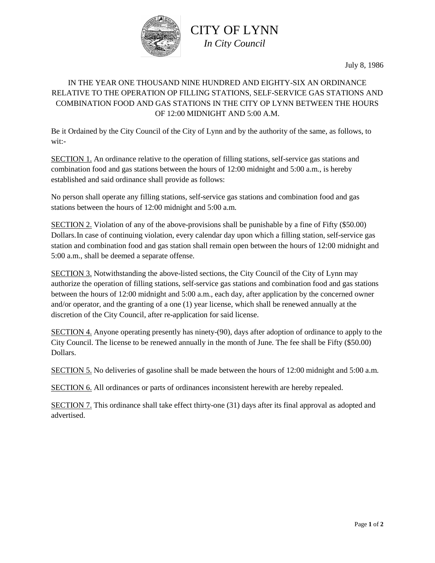

July 8, 1986

## IN THE YEAR ONE THOUSAND NINE HUNDRED AND EIGHTY-SIX AN ORDINANCE RELATIVE TO THE OPERATION OP FILLING STATIONS, SELF-SERVICE GAS STATIONS AND COMBINATION FOOD AND GAS STATIONS IN THE CITY OP LYNN BETWEEN THE HOURS OF 12:00 MIDNIGHT AND 5:00 A.M.

Be it Ordained by the City Council of the City of Lynn and by the authority of the same, as follows, to wit:-

SECTION 1. An ordinance relative to the operation of filling stations, self-service gas stations and combination food and gas stations between the hours of 12:00 midnight and 5:00 a.m., is hereby established and said ordinance shall provide as follows:

No person shall operate any filling stations, self-service gas stations and combination food and gas stations between the hours of 12:00 midnight and 5:00 a.m.

SECTION 2. Violation of any of the above-provisions shall be punishable by a fine of Fifty (\$50.00) Dollars.In case of continuing violation, every calendar day upon which a filling station, self-service gas station and combination food and gas station shall remain open between the hours of 12:00 midnight and 5:00 a.m., shall be deemed a separate offense.

SECTION 3. Notwithstanding the above-listed sections, the City Council of the City of Lynn may authorize the operation of filling stations, self-service gas stations and combination food and gas stations between the hours of 12:00 midnight and 5:00 a.m., each day, after application by the concerned owner and/or operator, and the granting of a one (1) year license, which shall be renewed annually at the discretion of the City Council, after re-application for said license.

SECTION 4. Anyone operating presently has ninety-(90), days after adoption of ordinance to apply to the City Council. The license to be renewed annually in the month of June. The fee shall be Fifty (\$50.00) Dollars.

SECTION 5. No deliveries of gasoline shall be made between the hours of 12:00 midnight and 5:00 a.m.

SECTION 6. All ordinances or parts of ordinances inconsistent herewith are hereby repealed.

SECTION 7. This ordinance shall take effect thirty-one (31) days after its final approval as adopted and advertised.